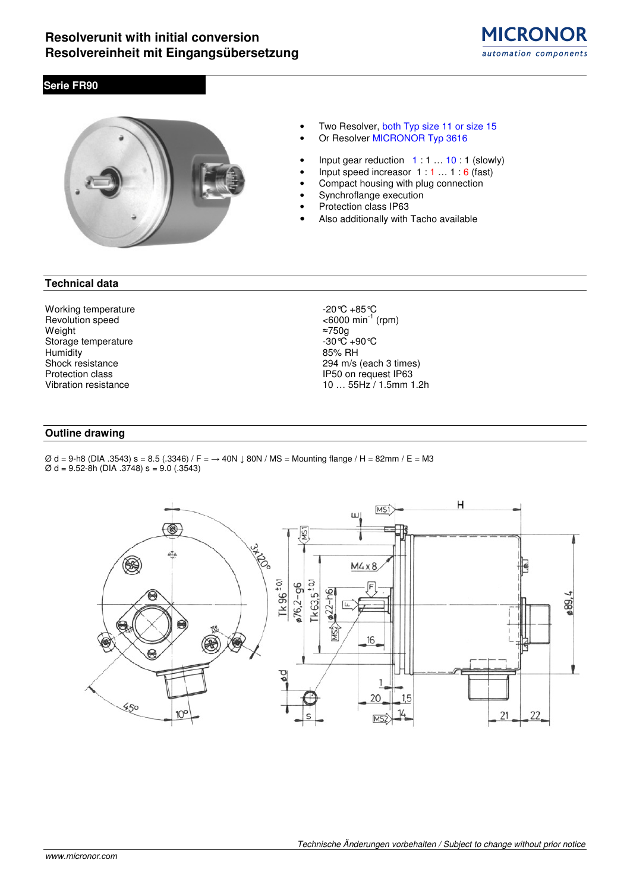# **Serie FR90**



- Two Resolver, both Typ size 11 or size 15 Or Resolver MICRONOR Typ 3616
- 
- Input gear reduction  $1:1...10:1$  (slowly)
- Input speed increasor  $1:1...1:6$  (fast)
- Compact housing with plug connection Synchroflange execution
- Protection class IP63
- 
- Also additionally with Tacho available

## **Technical data**

Working temperature  $-20^{\circ}\text{C} +85^{\circ}\text{C}$ <br>Revolution speed  $\leq 6000 \text{ min}^{-1}$ Revolution speed<br>Weight  $\approx$  750g<br>Weight  $\approx$  750g Weight ≈750g Storage temperature  $-30^{\circ}\text{C}$  +90 °C<br>
Humidity 85% RH Humidity<br>Shock resistance

294 m/s (each 3 times) Protection class IP50 on request IP63<br>Vibration resistance 10 under the Unit of the Unit of the Unit of the Unit of the Unit of the Unit of the Unit 10 ... 55Hz / 1.5mm 1.2h

## **Outline drawing**

Ø d = 9-h8 (DIA .3543) s = 8.5 (.3346) / F = → 40N ↓ 80N / MS = Mounting flange / H = 82mm / E = M3 Ø d = 9.52-8h (DIA .3748) s = 9.0 (.3543)